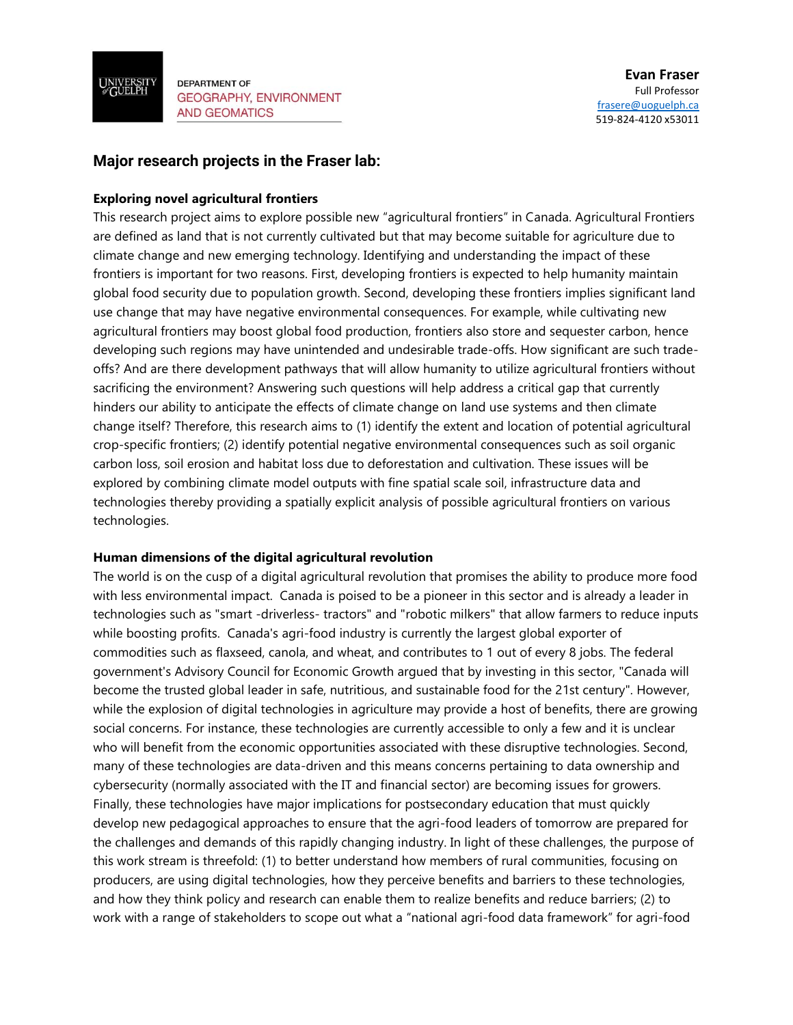

**DEPARTMENT OF GEOGRAPHY, ENVIRONMENT AND GEOMATICS** 

## **Major research projects in the Fraser lab:**

## **Exploring novel agricultural frontiers**

This research project aims to explore possible new "agricultural frontiers" in Canada. Agricultural Frontiers are defined as land that is not currently cultivated but that may become suitable for agriculture due to climate change and new emerging technology. Identifying and understanding the impact of these frontiers is important for two reasons. First, developing frontiers is expected to help humanity maintain global food security due to population growth. Second, developing these frontiers implies significant land use change that may have negative environmental consequences. For example, while cultivating new agricultural frontiers may boost global food production, frontiers also store and sequester carbon, hence developing such regions may have unintended and undesirable trade-offs. How significant are such tradeoffs? And are there development pathways that will allow humanity to utilize agricultural frontiers without sacrificing the environment? Answering such questions will help address a critical gap that currently hinders our ability to anticipate the effects of climate change on land use systems and then climate change itself? Therefore, this research aims to (1) identify the extent and location of potential agricultural crop-specific frontiers; (2) identify potential negative environmental consequences such as soil organic carbon loss, soil erosion and habitat loss due to deforestation and cultivation. These issues will be explored by combining climate model outputs with fine spatial scale soil, infrastructure data and technologies thereby providing a spatially explicit analysis of possible agricultural frontiers on various technologies.

## **Human dimensions of the digital agricultural revolution**

The world is on the cusp of a digital agricultural revolution that promises the ability to produce more food with less environmental impact. Canada is poised to be a pioneer in this sector and is already a leader in technologies such as "smart -driverless- tractors" and "robotic milkers" that allow farmers to reduce inputs while boosting profits. Canada's agri-food industry is currently the largest global exporter of commodities such as flaxseed, canola, and wheat, and contributes to 1 out of every 8 jobs. The federal government's Advisory Council for Economic Growth argued that by investing in this sector, "Canada will become the trusted global leader in safe, nutritious, and sustainable food for the 21st century". However, while the explosion of digital technologies in agriculture may provide a host of benefits, there are growing social concerns. For instance, these technologies are currently accessible to only a few and it is unclear who will benefit from the economic opportunities associated with these disruptive technologies. Second, many of these technologies are data-driven and this means concerns pertaining to data ownership and cybersecurity (normally associated with the IT and financial sector) are becoming issues for growers. Finally, these technologies have major implications for postsecondary education that must quickly develop new pedagogical approaches to ensure that the agri-food leaders of tomorrow are prepared for the challenges and demands of this rapidly changing industry. In light of these challenges, the purpose of this work stream is threefold: (1) to better understand how members of rural communities, focusing on producers, are using digital technologies, how they perceive benefits and barriers to these technologies, and how they think policy and research can enable them to realize benefits and reduce barriers; (2) to work with a range of stakeholders to scope out what a "national agri-food data framework" for agri-food